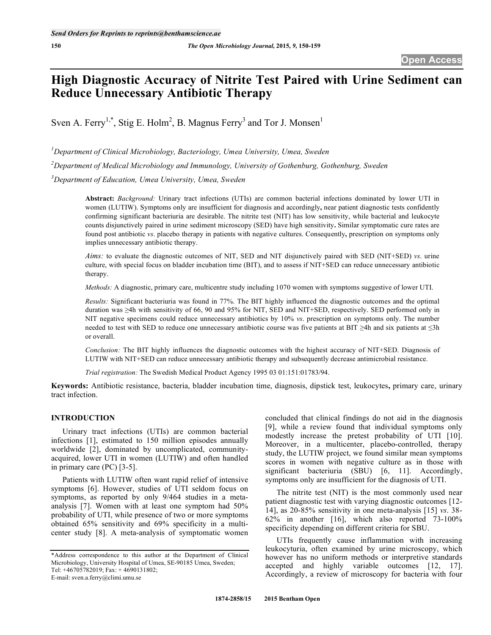# **High Diagnostic Accuracy of Nitrite Test Paired with Urine Sediment can Reduce Unnecessary Antibiotic Therapy**

Sven A. Ferry<sup>1,\*</sup>, Stig E. Holm<sup>2</sup>, B. Magnus Ferry<sup>3</sup> and Tor J. Monsen<sup>1</sup>

*1 Department of Clinical Microbiology, Bacteriology, Umea University, Umea, Sweden 2 Department of Medical Microbiology and Immunology, University of Gothenburg, Gothenburg, Sweden 3 Department of Education, Umea University, Umea, Sweden* 

**Abstract:** *Background:* Urinary tract infections (UTIs) are common bacterial infections dominated by lower UTI in women (LUTIW). Symptoms only are insufficient for diagnosis and accordingly**,** near patient diagnostic tests confidently confirming significant bacteriuria are desirable. The nitrite test (NIT) has low sensitivity, while bacterial and leukocyte counts disjunctively paired in urine sediment microscopy (SED) have high sensitivity**.** Similar symptomatic cure rates are found post antibiotic *vs*. placebo therapy in patients with negative cultures. Consequently**,** prescription on symptoms only implies unnecessary antibiotic therapy.

*Aims:* to evaluate the diagnostic outcomes of NIT, SED and NIT disjunctively paired with SED (NIT+SED) *vs*. urine culture, with special focus on bladder incubation time (BIT), and to assess if NIT+SED can reduce unnecessary antibiotic therapy.

*Methods:* A diagnostic, primary care, multicentre study including 1070 women with symptoms suggestive of lower UTI.

*Results:* Significant bacteriuria was found in 77%. The BIT highly influenced the diagnostic outcomes and the optimal duration was  $\geq 4$ h with sensitivity of 66, 90 and 95% for NIT, SED and NIT+SED, respectively. SED performed only in NIT negative specimens could reduce unnecessary antibiotics by 10% *vs*. prescription on symptoms only. The number needed to test with SED to reduce one unnecessary antibiotic course was five patients at BIT  $\geq$ 4h and six patients at  $\leq$ 3h or overall.

*Conclusion:* The BIT highly influences the diagnostic outcomes with the highest accuracy of NIT+SED. Diagnosis of LUTIW with NIT+SED can reduce unnecessary antibiotic therapy and subsequently decrease antimicrobial resistance.

*Trial registration:* The Swedish Medical Product Agency 1995 03 01:151:01783/94.

**Keywords:** Antibiotic resistance, bacteria, bladder incubation time, diagnosis, dipstick test, leukocytes**,** primary care, urinary tract infection.

# **INTRODUCTION**

 Urinary tract infections (UTIs) are common bacterial infections [1], estimated to 150 million episodes annually worldwide [2], dominated by uncomplicated, communityacquired, lower UTI in women (LUTIW) and often handled in primary care (PC) [3-5].

 Patients with LUTIW often want rapid relief of intensive symptoms [6]. However, studies of UTI seldom focus on symptoms, as reported by only 9/464 studies in a metaanalysis [7]. Women with at least one symptom had 50% probability of UTI, while presence of two or more symptoms obtained 65% sensitivity and 69% specificity in a multicenter study [8]. A meta-analysis of symptomatic women

concluded that clinical findings do not aid in the diagnosis [9], while a review found that individual symptoms only modestly increase the pretest probability of UTI [10]. Moreover, in a multicenter, placebo-controlled, therapy study, the LUTIW project, we found similar mean symptoms scores in women with negative culture as in those with significant bacteriuria (SBU) [6, 11]. Accordingly, symptoms only are insufficient for the diagnosis of UTI.

 The nitrite test (NIT) is the most commonly used near patient diagnostic test with varying diagnostic outcomes [12- 14], as 20-85% sensitivity in one meta-analysis [15] *vs*. 38- 62% in another [16], which also reported 73-100% specificity depending on different criteria for SBU.

 UTIs frequently cause inflammation with increasing leukocyturia, often examined by urine microscopy, which however has no uniform methods or interpretive standards accepted and highly variable outcomes [12, 17]. Accordingly, a review of microscopy for bacteria with four

<sup>\*</sup>Address correspondence to this author at the Department of Clinical Microbiology, University Hospital of Umea, SE-90185 Umea, Sweden; Tel: +46705782019; Fax: + 4690131802; E-mail: sven.a.ferry@climi.umu.se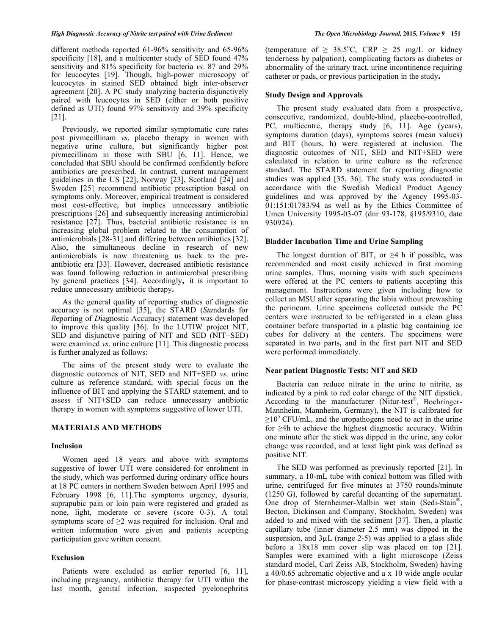different methods reported 61-96% sensitivity and 65-96% specificity [18], and a multicenter study of SED found 47% sensitivity and 81% specificity for bacteria *vs*. 87 and 29% for leucocytes [19]. Though, high-power microscopy of leucocytes in stained SED obtained high inter-observer agreement [20]. A PC study analyzing bacteria disjunctively paired with leucocytes in SED (either or both positive defined as UTI) found 97% sensitivity and 39% specificity [21].

 Previously, we reported similar symptomatic cure rates post pivmecillinam *vs*. placebo therapy in women with negative urine culture, but significantly higher post pivmecillinam in those with SBU [6, 11]. Hence, we concluded that SBU should be confirmed confidently before antibiotics are prescribed. In contrast, current management guidelines in the US [22], Norway [23], Scotland [24] and Sweden [25] recommend antibiotic prescription based on symptoms only. Moreover, empirical treatment is considered most cost-effective, but implies unnecessary antibiotic prescriptions [26] and subsequently increasing antimicrobial resistance [27]. Thus, bacterial antibiotic resistance is an increasing global problem related to the consumption of antimicrobials [28-31] and differing between antibiotics [32]. Also, the simultaneous decline in research of new antimicrobials is now threatening us back to the preantibiotic era [33]. However, decreased antibiotic resistance was found following reduction in antimicrobial prescribing by general practices [34]. Accordingly**,** it is important to reduce unnecessary antibiotic therapy**.** 

As the general quality of reporting studies of diagnostic accuracy is not optimal [35], the STARD (*Sta*ndards for *R*eporting of *D*iagnostic Accuracy) statement was developed to improve this quality [36]. In the LUTIW project NIT, SED and disjunctive pairing of NIT and SED (NIT+SED) were examined *vs*. urine culture [11]. This diagnostic process is further analyzed as follows:

 The aims of the present study were to evaluate the diagnostic outcomes of NIT, SED and NIT+SED *vs*. urine culture as reference standard, with special focus on the influence of BIT and applying the STARD statement, and to assess if NIT+SED can reduce unnecessary antibiotic therapy in women with symptoms suggestive of lower UTI.

# **MATERIALS AND METHODS**

# **Inclusion**

Women aged 18 years and above with symptoms suggestive of lower UTI were considered for enrolment in the study, which was performed during ordinary office hours at 18 PC centers in northern Sweden between April 1995 and February 1998 [6, 11].The symptoms urgency, dysuria, suprapubic pain or loin pain were registered and graded as none, light, moderate or severe (score 0-3). A total symptoms score of  $\geq 2$  was required for inclusion. Oral and written information were given and patients accepting participation gave written consent.

# **Exclusion**

Patients were excluded as earlier reported [6, 11], including pregnancy, antibiotic therapy for UTI within the last month, genital infection, suspected pyelonephritis

(temperature of  $\geq 38.5^{\circ}$ C, CRP  $\geq 25$  mg/L or kidney tenderness by palpation), complicating factors as diabetes or abnormality of the urinary tract, urine incontinence requiring catheter or pads, or previous participation in the study**.**

# **Study Design and Approvals**

The present study evaluated data from a prospective, consecutive, randomized, double-blind, placebo-controlled, PC, multicentre, therapy study [6, 11]. Age (years), symptoms duration (days), symptoms scores (mean values) and BIT (hours, h) were registered at inclusion. The diagnostic outcomes of NIT, SED and NIT+SED were calculated in relation to urine culture as the reference standard. The STARD statement for reporting diagnostic studies was applied [35, 36]. The study was conducted in accordance with the Swedish Medical Product Agency guidelines and was approved by the Agency 1995-03- 01:151:01783/94 as well as by the Ethics Committee of Umea University 1995-03-07 (dnr 93-178, §195/9310, date 930924).

### **Bladder Incubation Time and Urine Sampling**

The longest duration of BIT, or  $\geq 4$  h if possible, was recommended and most easily achieved in first morning urine samples. Thus, morning visits with such specimens were offered at the PC centers to patients accepting this management. Instructions were given including how to collect an MSU after separating the labia without prewashing the perineum. Urine specimens collected outside the PC centers were instructed to be refrigerated in a clean glass container before transported in a plastic bag containing ice cubes for delivery at the centers. The specimens were separated in two parts**,** and in the first part NIT and SED were performed immediately.

# **Near patient Diagnostic Tests: NIT and SED**

 Bacteria can reduce nitrate in the urine to nitrite, as indicated by a pink to red color change of the NIT dipstick. According to the manufacturer (Nitur-test<sup>®</sup>, Boehringer-Mannheim, Mannheim, Germany), the NIT is calibrated for  $\geq$ 10<sup>5</sup> CFU/mL, and the uropathogens need to act in the urine for  $\geq$ 4h to achieve the highest diagnostic accuracy. Within one minute after the stick was dipped in the urine, any color change was recorded, and at least light pink was defined as positive NIT.

 The SED was performed as previously reported [21]. In summary, a 10-mL tube with conical bottom was filled with urine, centrifuged for five minutes at 3750 rounds/minute (1250 G), followed by careful decanting of the supernatant. One drop of Sternheimer-Malbin wet stain (Sedi-Stain®, Becton, Dickinson and Company, Stockholm, Sweden) was added to and mixed with the sediment [37]. Then, a plastic capillary tube (inner diameter 2.5 mm) was dipped in the suspension, and  $3\mu$ L (range 2-5) was applied to a glass slide before a 18x18 mm cover slip was placed on top [21]. Samples were examined with a light microscope (Zeiss standard model, Carl Zeiss AB, Stockholm, Sweden) having a 40/0.65 achromatic objective and a x 10 wide angle ocular for phase-contrast microscopy yielding a view field with a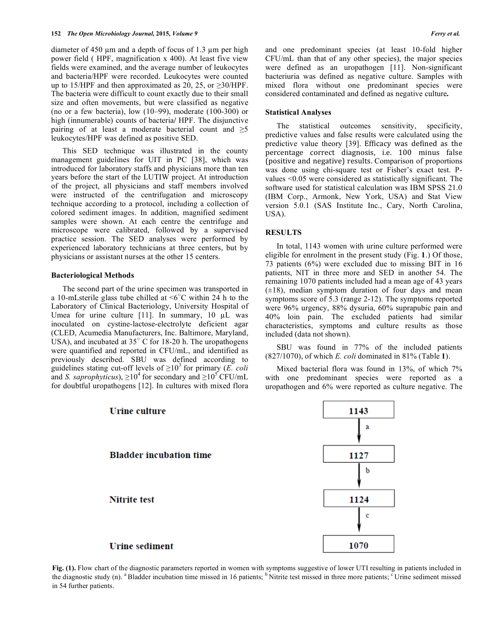diameter of 450  $\mu$ m and a depth of focus of 1.3  $\mu$ m per high power field ( HPF, magnification x 400). At least five view fields were examined, and the average number of leukocytes and bacteria/HPF were recorded. Leukocytes were counted up to 15/HPF and then approximated as 20, 25, or  $\geq$ 30/HPF. The bacteria were difficult to count exactly due to their small size and often movements, but were classified as negative (no or a few bacteria), low (10–99), moderate (100-300) or high (innumerable) counts of bacteria**/** HPF. The disjunctive pairing of at least a moderate bacterial count and  $\geq 5$ leukocytes/HPF was defined as positive SED.

 This SED technique was illustrated in the county management guidelines for UIT in PC [38], which was introduced for laboratory staffs and physicians more than ten years before the start of the LUTIW project. At introduction of the project, all physicians and staff members involved were instructed of the centrifugation and microscopy technique according to a protocol, including a collection of colored sediment images. In addition, magnified sediment samples were shown. At each centre the centrifuge and microscope were calibrated, followed by a supervised practice session. The SED analyses were performed by experienced laboratory technicians at three centers, but by physicians or assistant nurses at the other 15 centers.

# **Bacteriological Methods**

 The second part of the urine specimen was transported in a 10-mLsterile glass tube chilled at  $\leq 6^{\circ}$ C within 24 h to the Laboratory of Clinical Bacteriology, University Hospital of Umea for urine culture  $[11]$ . In summary, 10  $\mu$ L was inoculated on cystine-lactose-electrolyte deficient agar (CLED, Acumedia Manufacturers, Inc. Baltimore, Maryland, USA), and incubated at  $35^{\circ}$  C for 18-20 h. The uropathogens were quantified and reported in CFU/mL, and identified as previously described. SBU was defined according to guidelines stating cut-off levels of  $\geq 10^3$  for primary (*E. coli*) and *S. saprophyticus*),  $\geq 10^4$  for secondary and  $\geq 10^5$  CFU/mL for doubtful uropathogens [12]. In cultures with mixed flora

and one predominant species (at least 10-fold higher CFU/mL than that of any other species), the major species were defined as an uropathogen [11]. Non-significant bacteriuria was defined as negative culture. Samples with mixed flora without one predominant species were considered contaminated and defined as negative culture**.** 

#### **Statistical Analyses**

 The statistical outcomes sensitivity, specificity, predictive values and false results were calculated using the predictive value theory [39]. Efficacy was defined as the percentage correct diagnosis, i.e. 100 minus false (positive and negative) results. Comparison of proportions was done using chi-square test or Fisher's exact test. Pvalues <0.05 were considered as statistically significant. The software used for statistical calculation was IBM SPSS 21.0 (IBM Corp., Armonk, New York, USA) and Stat View version 5.0.1 (SAS Institute Inc., Cary, North Carolina, USA).

#### **RESULTS**

 In total, 1143 women with urine culture performed were eligible for enrolment in the present study (Fig. **1**.) Of those, 73 patients (6%) were excluded due to missing BIT in 16 patients, NIT in three more and SED in another 54. The remaining 1070 patients included had a mean age of 43 years  $(\pm 18)$ , median symptom duration of four days and mean symptoms score of 5.3 (range 2-12). The symptoms reported were 96% urgency, 88% dysuria, 60% suprapubic pain and 40% loin pain. The excluded patients had similar characteristics, symptoms and culture results as those included (data not shown).

 SBU was found in 77% of the included patients (827/1070), of which *E. coli* dominated in 81% (Table **1**).

 Mixed bacterial flora was found in 13%, of which 7% with one predominant species were reported as a uropathogen and 6% were reported as culture negative. The



**Fig. (1).** Flow chart of the diagnostic parameters reported in women with symptoms suggestive of lower UTI resulting in patients included in the diagnostic study (n). <sup>a</sup> Bladder incubation time missed in 16 patients; <sup>b</sup> Nitrite test missed in three more patients; <sup>c</sup> Urine sediment missed in 54 further patients.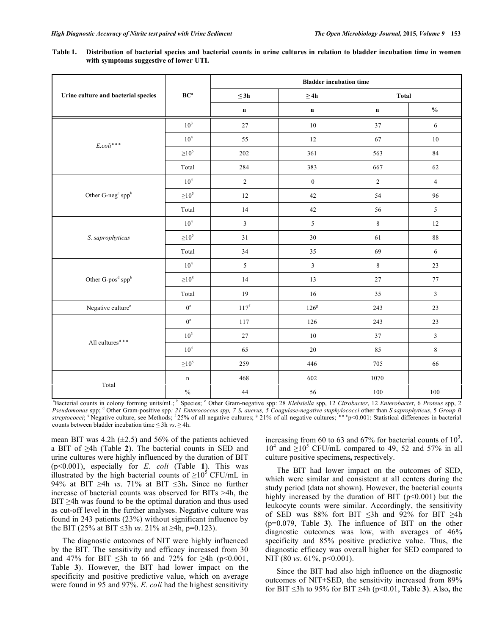**Table 1. Distribution of bacterial species and bacterial counts in urine cultures in relation to bladder incubation time in women with symptoms suggestive of lower UTI.** 

|                                              | $\mathbf{B}\mathbf{C}^{\mathbf{a}}$ | <b>Bladder incubation time</b> |                 |              |                |  |
|----------------------------------------------|-------------------------------------|--------------------------------|-----------------|--------------|----------------|--|
| Urine culture and bacterial species          |                                     | $\leq$ 3h                      | $\geq 4h$       | <b>Total</b> |                |  |
|                                              |                                     | $\mathbf n$                    | $\mathbf n$     | $\mathbf n$  | $\frac{0}{0}$  |  |
| $E. coli$ ***                                | 10 <sup>3</sup>                     | $27\,$                         | $10\,$          | 37           | 6              |  |
|                                              | 10 <sup>4</sup>                     | 55                             | 12              | 67           | 10             |  |
|                                              | $\geq$ 10 <sup>5</sup>              | 202                            | 361             | 563          | 84             |  |
|                                              | Total                               | 284                            | 383             | 667          | 62             |  |
| Other G-neg <sup>c</sup> spp <sup>b</sup>    | $10^4\,$                            | $\overline{c}$                 | $\mathbf{0}$    | $\sqrt{2}$   | $\overline{4}$ |  |
|                                              | $\geq$ 10 <sup>5</sup>              | $12 \,$                        | $42\,$          | 54           | 96             |  |
|                                              | Total                               | 14                             | 42              | 56           | $\mathfrak{S}$ |  |
| S. saprophyticus                             | 10 <sup>4</sup>                     | $\mathfrak{Z}$                 | $5\overline{)}$ | $\,8\,$      | 12             |  |
|                                              | $\geq$ 10 <sup>5</sup>              | 31                             | 30              | 61           | $88\,$         |  |
|                                              | Total                               | 34                             | $35\,$          | 69           | 6              |  |
| Other G-pos <sup>d</sup> ${\rm spp}^{\rm b}$ | $10^4\,$                            | 5                              | $\mathfrak{Z}$  | $\,8\,$      | 23             |  |
|                                              | $\geq$ 10 <sup>5</sup>              | 14                             | 13              | 27           | 77             |  |
|                                              | Total                               | 19                             | 16              | 35           | $\overline{3}$ |  |
| Negative culture <sup>e</sup>                | $0^{\rm e}$                         | $117^{\rm f}$                  | $126^{\rm g}$   | 243          | 23             |  |
| All cultures***                              | $0^{\rm e}$                         | 117                            | 126             | 243          | $23\,$         |  |
|                                              | $10^3$                              | $27\,$                         | $10\,$          | 37           | $\overline{3}$ |  |
|                                              | $10^4\,$                            | 65                             | $20\,$          | 85           | $\,8\,$        |  |
|                                              | $\geq 10^5$                         | 259                            | 446             | 705          | 66             |  |
|                                              | $\mathbf n$                         | 468                            | 602             | 1070         |                |  |
| Total                                        | $\sqrt[0]{\hskip -1.0pt 0}$         | 44                             | 56              | $100\,$      | $100\,$        |  |

<sup>a</sup>Bacterial counts in colony forming units/mL; <sup>b</sup> Species; <sup>c</sup> Other Gram-negative spp: 28 *Klebsiella* spp, 12 *Citrobacter*, 12 *Enterobacter*, 6 *Proteus* spp, 2 *Pseudomonas* spp; <sup>d</sup> Other Gram-positive spp: 21 Enterococcus spp, 7 S. auerus, 5 Coagulase-negative staphylococci other than *S.saprophyticus*, 5 *Group B* streptococci; <sup>e</sup> Negative culture, see Methods; <sup>f</sup> 25% of all negative cultures; <sup>g</sup> 21% of all negative cultures; \*\*\*p<0.001: Statistical differences in bacterial counts between bladder incubation time  $\leq 3h$  *vs.*  $\geq 4h$ .

mean BIT was 4.2h  $(\pm 2.5)$  and 56% of the patients achieved a BIT of  $\geq$ 4h (Table 2). The bacterial counts in SED and urine cultures were highly influenced by the duration of BIT (p<0.001), especially for *E. coli* (Table **1**). This was illustrated by the high bacterial counts of  $\geq 10^5$  CFU/mL in 94% at BIT  $\geq$ 4h *vs.* 71% at BIT  $\leq$ 3h. Since no further increase of bacterial counts was observed for BITs >4h, the  $BIT \geq 4h$  was found to be the optimal duration and thus used as cut-off level in the further analyses. Negative culture was found in 243 patients (23%) without significant influence by the BIT (25% at BIT  $\leq$ 3h *vs*. 21% at  $\geq$ 4h, p=0.123).

 The diagnostic outcomes of NIT were highly influenced by the BIT. The sensitivity and efficacy increased from 30 and 47% for BIT  $\leq$ 3h to 66 and 72% for  $\geq$ 4h (p<0.001, Table **3**). However, the BIT had lower impact on the specificity and positive predictive value, which on average were found in 95 and 97%. *E. coli* had the highest sensitivity

increasing from 60 to 63 and 67% for bacterial counts of  $10^3$ ,  $10^4$  and  $\geq 10^5$  CFU/mL compared to 49, 52 and 57% in all culture positive specimens**,** respectively.

The BIT had lower impact on the outcomes of SED, which were similar and consistent at all centers during the study period (data not shown). However, the bacterial counts highly increased by the duration of BIT ( $p<0.001$ ) but the leukocyte counts were similar. Accordingly, the sensitivity of SED was 88% fort BIT  $\leq 3h$  and 92% for BIT  $\geq 4h$ (p=0.079, Table **3**). The influence of BIT on the other diagnostic outcomes was low, with averages of 46% specificity and 85% positive predictive value. Thus, the diagnostic efficacy was overall higher for SED compared to NIT (80 *vs*. 61\%, p<0.001).

 Since the BIT had also high influence on the diagnostic outcomes of NIT+SED, the sensitivity increased from 89% for BIT 3h to 95% for BIT -4h (p<0.01, Table **3**). Also**,** the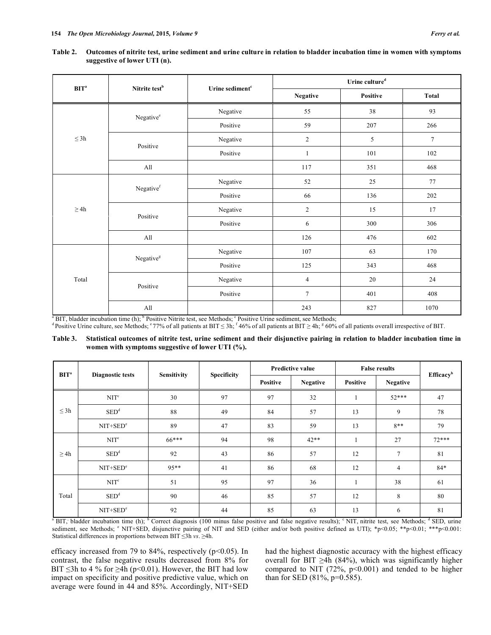| BIT <sup>a</sup> | Nitrite test <sup>b</sup> | Urine sediment <sup>c</sup> | Urine culture <sup>d</sup> |          |        |  |
|------------------|---------------------------|-----------------------------|----------------------------|----------|--------|--|
|                  |                           |                             | <b>Negative</b>            | Positive | Total  |  |
| $\leq 3h$        | Negative®                 | Negative                    | 55                         | 38       | 93     |  |
|                  |                           | Positive                    | 59                         | 207      | 266    |  |
|                  | Positive                  | Negative                    | $\mathfrak{2}$             | 5        | $\tau$ |  |
|                  |                           | Positive                    | $\mathbf{1}$               | 101      | 102    |  |
|                  | All                       |                             | 117                        | 351      | 468    |  |
| $\geq 4h$        | Negativef                 | Negative                    | 52                         | 25       | 77     |  |
|                  |                           | Positive                    | 66                         | 136      | 202    |  |
|                  | Positive                  | Negative                    | $\overline{2}$             | 15       | 17     |  |
|                  |                           | Positive                    | 6                          | 300      | 306    |  |
|                  | All                       |                             | 126                        | 476      | 602    |  |
| Total            | Negative <sup>g</sup>     | Negative                    | 107                        | 63       | 170    |  |
|                  |                           | Positive                    | 125                        | 343      | 468    |  |
|                  | Positive                  | Negative                    | $\overline{4}$             | 20       | 24     |  |
|                  |                           | Positive                    | $\overline{7}$             | 401      | 408    |  |
|                  | All                       |                             | 243                        | 827      | 1070   |  |

**Table 2. Outcomes of nitrite test, urine sediment and urine culture in relation to bladder incubation time in women with symptoms suggestive of lower UTI (n).** 

 $a^a$  BIT, bladder incubation time (h);  $b^b$  Positive Nitrite test, see Methods;  $c^b$ 

<sup>a</sup> BIT, bladder incubation time (h); <sup>b</sup> Positive Nitrite test, see Methods; <sup>c</sup> Positive Urine sediment, see Methods;<br><sup>d</sup> Positive Urine culture, see Methods; <sup>e</sup> 77% of all patients at BIT ≤ 3h; <sup>f</sup> 46% of all patients

**Table 3. Statistical outcomes of nitrite test, urine sediment and their disjunctive pairing in relation to bladder incubation time in women with symptoms suggestive of lower UTI (%).** 

| BIT <sup>a</sup> | <b>Diagnostic tests</b> | <b>Sensitivity</b> | <b>Specificity</b> | <b>Predictive value</b> |                 | <b>False results</b> |                 |                       |
|------------------|-------------------------|--------------------|--------------------|-------------------------|-----------------|----------------------|-----------------|-----------------------|
|                  |                         |                    |                    | <b>Positive</b>         | <b>Negative</b> | Positive             | <b>Negative</b> | Efficacy <sup>b</sup> |
| $\leq$ 3h        | NIT <sup>c</sup>        | 30                 | 97                 | 97                      | 32              | L.                   | $52***$         | 47                    |
|                  | $\text{SED}^d$          | 88                 | 49                 | 84                      | 57              | 13                   | 9               | 78                    |
|                  | $NIT+SEDe$              | 89                 | 47                 | 83                      | 59              | 13                   | $8**$           | 79                    |
| $\geq 4h$        | $\text{NIT}^{\text{c}}$ | $66***$            | 94                 | 98                      | $42**$          |                      | 27              | $72***$               |
|                  | $\text{SED}^d$          | 92                 | 43                 | 86                      | 57              | 12                   | 7               | 81                    |
|                  | $NIT+SEDe$              | $95**$             | 41                 | 86                      | 68              | 12                   | 4               | $84*$                 |
| Total            | NIT <sup>c</sup>        | 51                 | 95                 | 97                      | 36              |                      | 38              | 61                    |
|                  | $\mathrm{SED}^d$        | 90                 | 46                 | 85                      | 57              | 12                   | 8               | 80                    |
|                  | $NIT+SEDe$              | 92                 | 44                 | 85                      | 63              | 13                   | 6               | 81                    |

<sup>a</sup> BIT, bladder incubation time (h); <sup>b</sup> Correct diagnosis (100 minus false positive and false negative results);  $\degree$  NIT, nitrite test, see Methods;  $\degree$  SED, urine sediment, see Methods; <sup>e</sup> NIT+SED, disjunctive pairing of NIT and SED (either and/or both positive defined as UTI); \*p<0.05; \*\*p<0.01; \*\*p<0.01; Statistical differences in proportions between  $BIT \le 3h$  *vs*.  $\ge 4h$ .

efficacy increased from 79 to 84%, respectively (p<0.05). In contrast, the false negative results decreased from 8% for BIT  $\leq$ 3h to 4 % for  $\geq$ 4h (p<0.01). However, the BIT had low impact on specificity and positive predictive value, which on average were found in 44 and 85%. Accordingly, NIT+SED

had the highest diagnostic accuracy with the highest efficacy overall for BIT  $\geq$ 4h (84%), which was significantly higher compared to NIT (72%,  $p<0.001$ ) and tended to be higher than for SED (81%, p=0.585).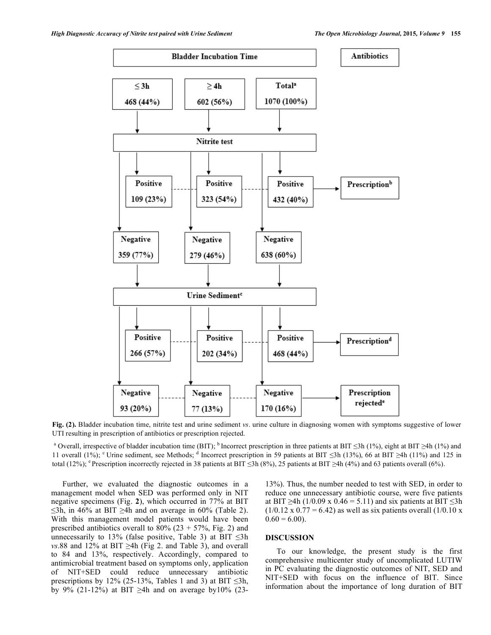

**Fig. (2).** Bladder incubation time, nitrite test and urine sediment *vs*. urine culture in diagnosing women with symptoms suggestive of lower UTI resulting in prescription of antibiotics or prescription rejected.

<sup>a</sup> Overall, irrespective of bladder incubation time (BIT); <sup>b</sup> Incorrect prescription in three patients at BIT  $\leq$ 3h (1%), eight at BIT  $\geq$ 4h (1%) and 11 overall (1%); <sup>c</sup> Urine sediment, see Methods; <sup>d</sup> Incorrect prescription in 59 patients at BIT  $\leq$ 3h (13%), 66 at BIT  $\geq$ 4h (11%) and 125 in total (12%); <sup>e</sup> Prescription incorrectly rejected in 38 patients at BIT  $\leq$ 3h (8%), 25 patients at BIT  $\geq$ 4h (4%) and 63 patients overall (6%).

Further, we evaluated the diagnostic outcomes in a management model when SED was performed only in NIT negative specimens (Fig. **2**), which occurred in 77% at BIT  $\leq$ 3h, in 46% at BIT  $\geq$ 4h and on average in 60% (Table 2). With this management model patients would have been prescribed antibiotics overall to  $80\%$  (23 + 57%, Fig. 2) and unnecessarily to 13% (false positive, Table 3) at BIT  $\leq$ 3h  $vs.88$  and 12% at BIT  $\geq$ 4h (Fig 2. and Table 3), and overall to 84 and 13%, respectively. Accordingly, compared to antimicrobial treatment based on symptoms only, application of NIT+SED could reduce unnecessary antibiotic prescriptions by 12% (25-13%, Tables 1 and 3) at BIT  $\leq 3h$ , by 9% (21-12%) at BIT  $\geq$ 4h and on average by10% (2313%). Thus, the number needed to test with SED, in order to reduce one unnecessary antibiotic course, were five patients at BIT  $\geq$ 4h (1/0.09 x 0.46 = 5.11) and six patients at BIT  $\leq$ 3h  $(1/0.12 \times 0.77 = 6.42)$  as well as six patients overall  $(1/0.10 \times$  $0.60 = 6.00$ ).

# **DISCUSSION**

 To our knowledge, the present study is the first comprehensive multicenter study of uncomplicated LUTIW in PC evaluating the diagnostic outcomes of NIT, SED and NIT+SED with focus on the influence of BIT. Since information about the importance of long duration of BIT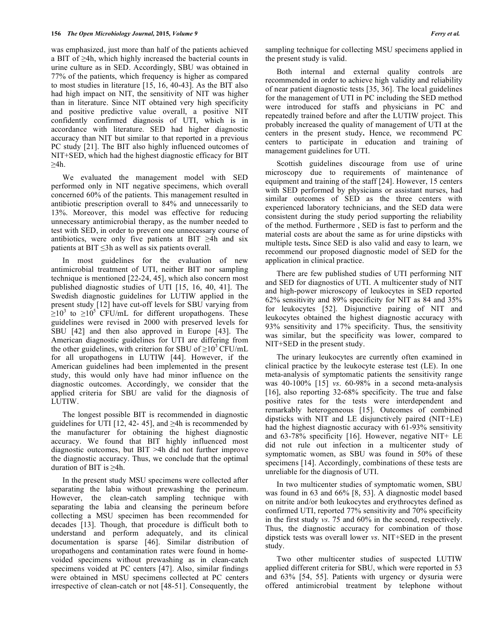was emphasized, just more than half of the patients achieved a BIT of  $\geq$ 4h, which highly increased the bacterial counts in urine culture as in SED. Accordingly, SBU was obtained in 77% of the patients, which frequency is higher as compared to most studies in literature [15, 16, 40-43]. As the BIT also had high impact on NIT, the sensitivity of NIT was higher than in literature. Since NIT obtained very high specificity and positive predictive value overall, a positive NIT confidently confirmed diagnosis of UTI, which is in accordance with literature. SED had higher diagnostic accuracy than NIT but similar to that reported in a previous PC study [21]. The BIT also highly influenced outcomes of NIT+SED, which had the highest diagnostic efficacy for BIT  $\geq$ 4h.

 We evaluated the management model with SED performed only in NIT negative specimens, which overall concerned 60% of the patients. This management resulted in antibiotic prescription overall to 84% and unnecessarily to 13%. Moreover, this model was effective for reducing unnecessary antimicrobial therapy, as the number needed to test with SED, in order to prevent one unnecessary course of antibiotics, were only five patients at BIT  $\geq$ 4h and six patients at  $BIT \le 3h$  as well as six patients overall.

 In most guidelines for the evaluation of new antimicrobial treatment of UTI, neither BIT nor sampling technique is mentioned [22-24, 45], which also concern most published diagnostic studies of UTI [15, 16, 40, 41]. The Swedish diagnostic guidelines for LUTIW applied in the present study [12] have cut-off levels for SBU varying from  $\geq 10^3$  to  $\geq 10^5$  CFU/mL for different uropathogens. These guidelines were revised in 2000 with preserved levels for SBU [42] and then also approved in Europe [43]. The American diagnostic guidelines for UTI are differing from the other guidelines, with criterion for SBU of  $\geq 10^3$  CFU/mL for all uropathogens in LUTIW [44]. However, if the American guidelines had been implemented in the present study, this would only have had minor influence on the diagnostic outcomes. Accordingly, we consider that the applied criteria for SBU are valid for the diagnosis of LUTIW.

 The longest possible BIT is recommended in diagnostic guidelines for UTI [12, 42-45], and  $\geq 4h$  is recommended by the manufacturer for obtaining the highest diagnostic accuracy. We found that BIT highly influenced most diagnostic outcomes, but BIT >4h did not further improve the diagnostic accuracy. Thus, we conclude that the optimal duration of BIT is  $\geq 4h$ .

 In the present study MSU specimens were collected after separating the labia without prewashing the perineum. However, the clean-catch sampling technique with separating the labia and cleansing the perineum before collecting a MSU specimen has been recommended for decades [13]. Though, that procedure is difficult both to understand and perform adequately, and its clinical documentation is sparse [46]. Similar distribution of uropathogens and contamination rates were found in homevoided specimens without prewashing as in clean-catch specimens voided at PC centers [47]. Also, similar findings were obtained in MSU specimens collected at PC centers irrespective of clean-catch or not [48-51]. Consequently, the

sampling technique for collecting MSU specimens applied in the present study is valid.

 Both internal and external quality controls are recommended in order to achieve high validity and reliability of near patient diagnostic tests [35, 36]. The local guidelines for the management of UTI in PC including the SED method were introduced for staffs and physicians in PC and repeatedly trained before and after the LUTIW project. This probably increased the quality of management of UTI at the centers in the present study**.** Hence, we recommend PC centers to participate in education and training of management guidelines for UTI.

 Scottish guidelines discourage from use of urine microscopy due to requirements of maintenance of equipment and training of the staff [24]. However, 15 centers with SED performed by physicians or assistant nurses, had similar outcomes of SED as the three centers with experienced laboratory technicians, and the SED data were consistent during the study period supporting the reliability of the method. Furthermore , SED is fast to perform and the material costs are about the same as for urine dipsticks with multiple tests**.** Since SED is also valid and easy to learn, we recommend our proposed diagnostic model of SED for the application in clinical practice.

There are few published studies of UTI performing NIT and SED for diagnostics of UTI. A multicenter study of NIT and high-power microscopy of leukocytes in SED reported 62% sensitivity and 89% specificity for NIT as 84 and 35% for leukocytes [52]. Disjunctive pairing of NIT and leukocytes obtained the highest diagnostic accuracy with 93% sensitivity and 17% specificity. Thus, the sensitivity was similar, but the specificity was lower, compared to NIT+SED in the present study.

 The urinary leukocytes are currently often examined in clinical practice by the leukocyte esterase test (LE). In one meta-analysis of symptomatic patients the sensitivity range was 40-100% [15] *vs*. 60-98% in a second meta-analysis [16], also reporting 32-68% specificity. The true and false positive rates for the tests were interdependent and remarkably heterogeneous [15]. Outcomes of combined dipsticks with NIT and LE disjunctively paired (NIT+LE) had the highest diagnostic accuracy with 61-93% sensitivity and 63-78% specificity [16]. However, negative NIT+ LE did not rule out infection in a multicenter study of symptomatic women, as SBU was found in 50% of these specimens [14]. Accordingly, combinations of these tests are unreliable for the diagnosis of UTI.

 In two multicenter studies of symptomatic women, SBU was found in 63 and 66% [8, 53]. A diagnostic model based on nitrite and/or both leukocytes and erythrocytes defined as confirmed UTI, reported 77% sensitivity and 70% specificity in the first study *vs*. 75 and 60% in the second, respectively. Thus, the diagnostic accuracy for combination of those dipstick tests was overall lower *vs*. NIT+SED in the present study.

 Two other multicenter studies of suspected LUTIW applied different criteria for SBU, which were reported in 53 and 63% [54, 55]. Patients with urgency or dysuria were offered antimicrobial treatment by telephone without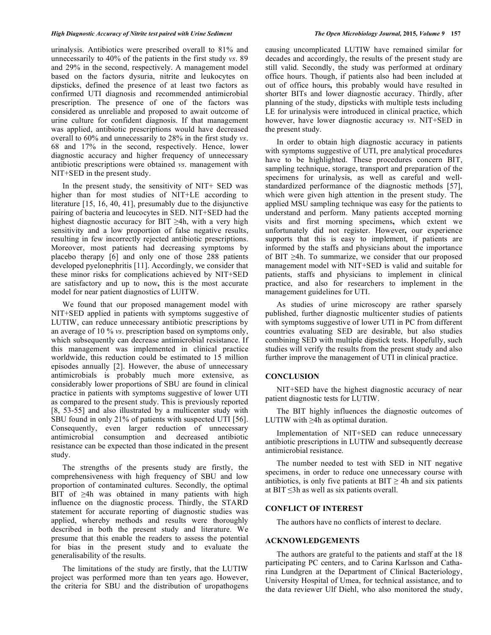### *High Diagnostic Accuracy of Nitrite test paired with Urine Sediment The Open Microbiology Journal,* **2015***, Volume 9* **157**

urinalysis. Antibiotics were prescribed overall to 81% and unnecessarily to 40% of the patients in the first study *vs*. 89 and 29% in the second, respectively. A management model based on the factors dysuria, nitrite and leukocytes on dipsticks, defined the presence of at least two factors as confirmed UTI diagnosis and recommended antimicrobial prescription. The presence of one of the factors was considered as unreliable and proposed to await outcome of urine culture for confident diagnosis. If that management was applied, antibiotic prescriptions would have decreased overall to 60% and unnecessarily to 28% in the first study *vs*. 68 and 17% in the second, respectively. Hence, lower diagnostic accuracy and higher frequency of unnecessary antibiotic prescriptions were obtained *vs*. management with NIT+SED in the present study.

 In the present study, the sensitivity of NIT+ SED was higher than for most studies of NIT+LE according to literature [15, 16, 40, 41], presumably due to the disjunctive pairing of bacteria and leucocytes in SED. NIT+SED had the highest diagnostic accuracy for BIT  $\geq 4$ h, with a very high sensitivity and a low proportion of false negative results, resulting in few incorrectly rejected antibiotic prescriptions. Moreover, most patients had decreasing symptoms by placebo therapy [6] and only one of those 288 patients developed pyelonephritis [11]. Accordingly, we consider that these minor risks for complications achieved by NIT+SED are satisfactory and up to now**,** this is the most accurate model for near patient diagnostics of LUITW.

 We found that our proposed management model with NIT+SED applied in patients with symptoms suggestive of LUTIW, can reduce unnecessary antibiotic prescriptions by an average of 10 % *vs*. prescription based on symptoms only, which subsequently can decrease antimicrobial resistance. If this management was implemented in clinical practice worldwide, this reduction could be estimated to 15 million episodes annually [2]. However, the abuse of unnecessary antimicrobials is probably much more extensive, as considerably lower proportions of SBU are found in clinical practice in patients with symptoms suggestive of lower UTI as compared to the present study. This is previously reported [8, 53-55] and also illustrated by a multicenter study with SBU found in only 21% of patients with suspected UTI [56]. Consequently, even larger reduction of unnecessary antimicrobial consumption and decreased antibiotic resistance can be expected than those indicated in the present study.

 The strengths of the presents study are firstly, the comprehensiveness with high frequency of SBU and low proportion of contaminated cultures. Secondly, the optimal BIT of  $\geq 4$ h was obtained in many patients with high influence on the diagnostic process. Thirdly, the STARD statement for accurate reporting of diagnostic studies was applied, whereby methods and results were thoroughly described in both the present study and literature. We presume that this enable the readers to assess the potential for bias in the present study and to evaluate the generalisability of the results.

 The limitations of the study are firstly, that the LUTIW project was performed more than ten years ago. However, the criteria for SBU and the distribution of uropathogens

causing uncomplicated LUTIW have remained similar for decades and accordingly, the results of the present study are still valid. Secondly, the study was performed at ordinary office hours. Though, if patients also had been included at out of office hours**,** this probably would have resulted in shorter BITs and lower diagnostic accuracy. Thirdly, after planning of the study, dipsticks with multiple tests including LE for urinalysis were introduced in clinical practice, which however, have lower diagnostic accuracy *vs*. NIT+SED in the present study.

In order to obtain high diagnostic accuracy in patients with symptoms suggestive of UTI, pre analytical procedures have to be highlighted. These procedures concern BIT, sampling technique, storage, transport and preparation of the specimens for urinalysis, as well as careful and wellstandardized performance of the diagnostic methods [57], which were given high attention in the present study. The applied MSU sampling technique was easy for the patients to understand and perform. Many patients accepted morning visits and first morning specimens**,** which extent we unfortunately did not register. However**,** our experience supports that this is easy to implement, if patients are informed by the staffs and physicians about the importance of BIT  $\geq$ 4h. To summarize, we consider that our proposed management model with NIT+SED is valid and suitable for patients, staffs and physicians to implement in clinical practice, and also for researchers to implement in the management guidelines for UTI.

 As studies of urine microscopy are rather sparsely published, further diagnostic multicenter studies of patients with symptoms suggestive of lower UTI in PC from different countries evaluating SED are desirable, but also studies combining SED with multiple dipstick tests. Hopefully, such studies will verify the results from the present study and also further improve the management of UTI in clinical practice.

# **CONCLUSION**

NIT+SED have the highest diagnostic accuracy of near patient diagnostic tests for LUTIW.

 The BIT highly influences the diagnostic outcomes of LUTIW with  $\geq 4$ h as optimal duration.

Implementation of NIT+SED can reduce unnecessary antibiotic prescriptions in LUTIW and subsequently decrease antimicrobial resistance.

 The number needed to test with SED in NIT negative specimens, in order to reduce one unnecessary course with antibiotics, is only five patients at  $BIT \geq 4h$  and six patients at BIT  $\leq$ 3h as well as six patients overall.

# **CONFLICT OF INTEREST**

The authors have no conflicts of interest to declare.

# **ACKNOWLEDGEMENTS**

 The authors are grateful to the patients and staff at the 18 participating PC centers, and to Carina Karlsson and Catharina Lundgren at the Department of Clinical Bacteriology, University Hospital of Umea, for technical assistance, and to the data reviewer Ulf Diehl, who also monitored the study,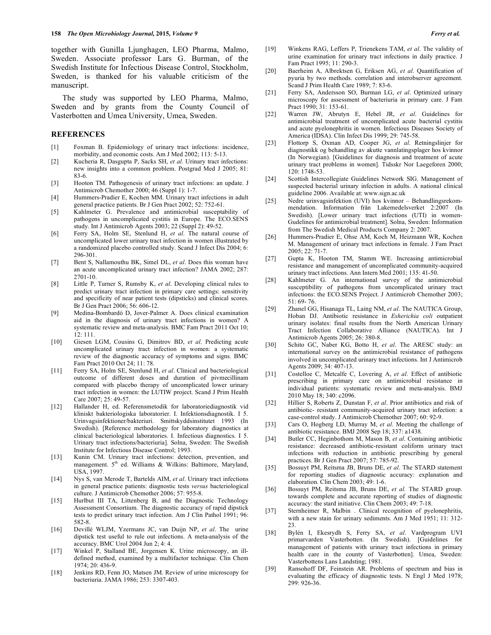together with Gunilla Ljunghagen, LEO Pharma, Malmo, Sweden. Associate professor Lars G. Burman, of the Swedish Institute for Infectious Disease Control, Stockholm, Sweden, is thanked for his valuable criticism of the manuscript.

The study was supported by LEO Pharma, Malmo, Sweden and by grants from the County Council of Vasterbotten and Umea University, Umea, Sweden.

# **REFERENCES**

- [1] Foxman B. Epidemiology of urinary tract infections: incidence, morbidity, and economic costs. Am J Med 2002; 113: 5-13.
- [2] Kucheria R, Dasgupta P, Sacks SH, *et al*. Urinary tract infections: new insights into a common problem. Postgrad Med J 2005; 81: 83-6.
- [3] Hooton TM. Pathogenesis of urinary tract infections: an update. J Antimicrob Chemother 2000; 46 (Suppl 1): 1-7.
- [4] Hummers-Pradier E, Kochen MM. Urinary tract infections in adult general practice patients. Br J Gen Pract 2002; 52: 752-61.
- [5] Kahlmeter G. Prevalence and antimicrobial susceptability of pathogens in uncomplicated cystitis in Europe. The ECO.SENS study. Int J Antimicrob Agents 2003; 22 (Suppl 2): 49-52.
- [6] Ferry SA, Holm SE, Stenlund H, *et al*. The natural course of uncomplicated lower urinary tract infection in women illustrated by a randomized placebo controlled study. Scand J Infect Dis 2004; 6: 296-301.
- [7] Bent S, Nallamouthu BK, Simel DL, *et al*. Does this woman have an acute uncomplicated urinary tract infection? JAMA 2002; 287: 2701-10.
- [8] Little P, Turner S, Rumsby K, *et al*. Developing clinical rules to predict urinary tract infection in primary care settings: sensitivity and specificity of near patient tests (dipsticks) and clinical scores. Br J Gen Pract 2006; 56: 606-12.
- [9] Medina-Bombardó D, Jover-Palmer A. Does clinical examination aid in the diagnosis of urinary tract infections in women? A systematic review and meta-analysis. BMC Fam Pract 2011 Oct 10; 12: 111.
- [10] Giesen LGM, Cousins G, Dimitrov BD, *et al*. Predicting acute uncomplicated urinary tract infection in women: a systematic review of the diagnostic accuracy of symptoms and signs. BMC Fam Pract 2010 Oct 24; 11: 78.
- [11] Ferry SA, Holm SE, Stenlund H, *et al*. Clinical and bacteriological outcome of different doses and duration of pivmecillinam compared with placebo therapy of uncomplicated lower urinary tract infection in women: the LUTIW project. Scand J Prim Health Care 2007; 25: 49-57.
- [12] Hallander H, ed. Referensmetodik for laboratoriediagnostik vid kliniskt bakteriologiska laboratorier. I. Infektionsdiagnostik. I 5. Urinvagsinfektioner/bakteriuri. Smittskyddsinstitutet 1993 (In Swedish). [Reference methodology for laboratory diagnostics at clinical bacteriological laboratories. I. Infectious diagnostics. I 5. Urinary tract infections/bacteriuria]. Solna, Sweden: The Swedish Institute for Infectious Disease Control; 1993.
- [13] Kunin CM. Urinary tract infections: detection, prevention, and management. 5<sup>th</sup> ed. Williams & Wilkins: Baltimore, Maryland, USA, 1997.
- [14] Nys S, van Merode T, Bartelds AIM, *et al*. Urinary tract infections in general practice patients: diagnostic tests *versus* bacteriological culture. J Antimicrob Chemother 2006; 57: 955-8.
- [15] Hurlbut III TA, Littenberg B, and the Diagnostic Technology Assessment Consortium. The diagnostic accuracy of rapid dipstick tests to predict urinary tract infection. Am J Clin Pathol 1991; 96: 582-8.
- [16] Devillé WLJM, Yzermans JC, van Duijn NP, *et al*. The urine dipstick test useful to rule out infections. A meta-analysis of the accuracy. BMC Urol 2004 Jun 2; 4: 4.
- [17] Winkel P, Stalland BE, Jorgensen K. Urine microscopy, an illdefined method, examined by a multifactor technique. Clin Chem 1974; 20: 436-9.
- [18] Jenkins RD, Fenn JO, Matsen JM. Review of urine microscopy for bacteriuria. JAMA 1986; 253: 3307-403.
- [19] Winkens RAG, Leffers P, Trienekens TAM, *et al*. The validity of urine examination for urinary tract infections in daily practice. J Fam Pract 1995; 11: 290-3.
- [20] Baerheim A, Albrektsen G, Eriksen AG, *et al*. Quantification of pyuria by two methods. correlation and interobserver agreement. Scand J Prim Health Care 1989; 7: 83-6.
- [21] Ferry SA, Andersson SO, Burman LG, *et al*. Optimized urinary microscopy for assessment of bacteriuria in primary care. J Fam Pract 1990; 31: 153-61.
- [22] Warren JW, Abrutyn E, Hebel JR, *et al*. Guidelines for antimicrobial treatment of uncomplicated acute bacterial cystitis and acute pyelonephritis in women. Infectious Diseases Society of America (IDSA). Clin Infect Dis 1999; 29: 745-58.
- [23] Flottorp S, Oxman AD, Cooper JG, *et al*. Retningslinjer for diagnostikk og behandling av akutte vannlatingsplager hos kvinnor (In Norwegian). [Guidelines for diagnosis and treatment of acute urinary tract problems in women]. Tidsskr Nor Laegeforen 2000; 120: 1748-53.
- [24] Scottish Intercollegiate Guidelines Network SIG. Management of suspected bacterial urinary infection in adults. A national clinical guideline 2006. Available at: www.sign.ac.uk
- [25] Nedre urinvagsinfektion (UVI) hos kvinnor Behandlingsrekommendation. Information från Lakemedelsverket 2:2007 (In Swedish). [Lower urinary tract infections (UTI) in women-Gudelines for antimicrobial treatment]. Solna, Sweden: Information from The Swedish Medical Products Company 2: 2007.
- [26] Hummers-Pradier E, Ohse AM, Koch M, Heizmann WR, Kochen M. Management of urinary tract infections in female. J Fam Pract 2005; 22: 71-7.
- [27] Gupta K, Hooton TM, Stamm WE. Increasing antimicrobial resistance and management of uncomplicated community-acquired urinary tract infections. Ann Intern Med 2001; 135: 41-50.
- [28] Kahlmeter G. An international survey of the antimicrobial susceptibility of pathogens from uncomplicated urinary tract infections: the ECO.SENS Project. J Antimicrob Chemother 2003; 51: 69- 76.
- [29] Zhanel GG, Hisanaga TL, Laing NM, *et al*. The NAUTICA Group, Hoban DJ. Antibiotic resistance in *Esherichia coli* outpatient urinary isolates: final results from the North American Urinary Tract Infection Collaborative Alliance (NAUTICA). Int J Antimicrob Agents 2005; 26: 380-8.
- [30] Schito GC, Naber KG, Botto H, *et al*. The ARESC study: an international survey on the antimicrobial resistance of pathogens involved in uncomplicated urinary tract infections. Int J Antimicrob Agents 2009; 34: 407-13.
- [31] Costelloe C, Metcalfe C, Lovering A, *et al*. Effect of antibiotic prescribing in primary care on antimicrobial resistance in individual patients: systematic review and meta-analysis. BMJ 2010 May 18; 340: c2096.
- [32] Hillier S, Roberts Z, Dunstan F, *et al*. Prior antibiotics and risk of antibiotic- resistant community-acquired urinary tract infection: a case-control study. J Antimicrob Chemother 2007; 60: 92-9.
- [33] Cars O, Hogberg LD, Murray M, *et al*. Meeting the challenge of antibiotic resistance. BMJ 2008 Sep 18; 337: a1438.
- [34] Butler CC, Heginbothom M, Mason B, *et al*. Containing antibiotic resistance: decreased antibiotic-resistant coliform urinary tract infections with reduction in antibiotic prescribing by general practices. Br J Gen Pract 2007; 57: 785-92.
- [35] Bossuyt PM, Reitsma JB, Bruns DE, *et al*. The STARD statement for reporting studies of diagnostic accuracy: explanation and elaboration. Clin Chem 2003; 49: 1-6.
- [36] Bossuyt PM, Reitsma JB, Bruns DE, *et al.* The STARD group. towards complete and accurate reporting of studies of diagnostic accuracy: the stard initiative. Clin Chem 2003; 49: 7-18.
- [37] Sternheimer R, Malbin . Clinical recognition of pyelonephritis, with a new stain for urinary sediments. Am J Med 1951; 11: 312- 23.
- [38] Bylén I, Ekesrydh S, Ferry SA, *et al*. Vardprogram UVI primarvarden Vasterbotten. (In Swedish). [Guidelines for management of patients with urinary tract infections in primary health care in the county of Vasterbotten]. Umea, Sweden: Vasterbottens Lans Landsting; 1981.
- [39] Ransohoff DF, Feinstein AR. Problems of spectrum and bias in evaluating the efficacy of diagnostic tests. N Engl J Med 1978; 299: 926-36.